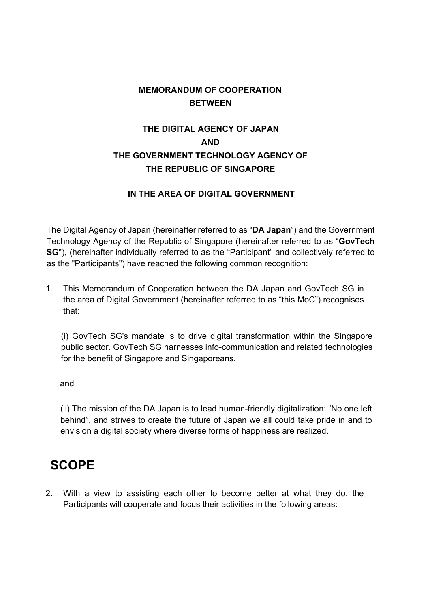#### **MEMORANDUM OF COOPERATION BETWEEN**

#### **THE DIGITAL AGENCY OF JAPAN AND THE GOVERNMENT TECHNOLOGY AGENCY OF THE REPUBLIC OF SINGAPORE**

#### **IN THE AREA OF DIGITAL GOVERNMENT**

The Digital Agency of Japan (hereinafter referred to as "**DA Japan**") and the Government Technology Agency of the Republic of Singapore (hereinafter referred to as "**GovTech SG**"), (hereinafter individually referred to as the "Participant" and collectively referred to as the "Participants") have reached the following common recognition:

1. This Memorandum of Cooperation between the DA Japan and GovTech SG in the area of Digital Government (hereinafter referred to as "this MoC") recognises that:

(i) GovTech SG's mandate is to drive digital transformation within the Singapore public sector. GovTech SG harnesses info-communication and related technologies for the benefit of Singapore and Singaporeans.

and

(ii) The mission of the DA Japan is to lead human-friendly digitalization: "No one left behind", and strives to create the future of Japan we all could take pride in and to envision a digital society where diverse forms of happiness are realized.

# **SCOPE**

2. With a view to assisting each other to become better at what they do, the Participants will cooperate and focus their activities in the following areas: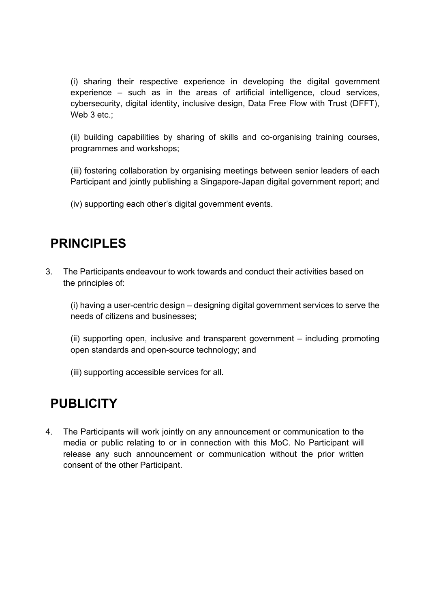(i) sharing their respective experience in developing the digital government experience – such as in the areas of artificial intelligence, cloud services, cybersecurity, digital identity, inclusive design, Data Free Flow with Trust (DFFT), Web 3 etc.;

(ii) building capabilities by sharing of skills and co-organising training courses, programmes and workshops;

(iii) fostering collaboration by organising meetings between senior leaders of each Participant and jointly publishing a Singapore-Japan digital government report; and

(iv) supporting each other's digital government events.

#### **PRINCIPLES**

3. The Participants endeavour to work towards and conduct their activities based on the principles of:

(i) having a user-centric design – designing digital government services to serve the needs of citizens and businesses;

(ii) supporting open, inclusive and transparent government – including promoting open standards and open-source technology; and

(iii) supporting accessible services for all.

## **PUBLICITY**

4. The Participants will work jointly on any announcement or communication to the media or public relating to or in connection with this MoC. No Participant will release any such announcement or communication without the prior written consent of the other Participant.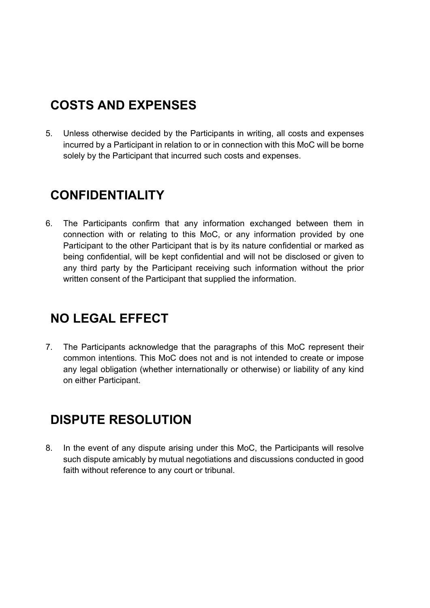# **COSTS AND EXPENSES**

5. Unless otherwise decided by the Participants in writing, all costs and expenses incurred by a Participant in relation to or in connection with this MoC will be borne solely by the Participant that incurred such costs and expenses.

# **CONFIDENTIALITY**

6. The Participants confirm that any information exchanged between them in connection with or relating to this MoC, or any information provided by one Participant to the other Participant that is by its nature confidential or marked as being confidential, will be kept confidential and will not be disclosed or given to any third party by the Participant receiving such information without the prior written consent of the Participant that supplied the information.

# **NO LEGAL EFFECT**

7. The Participants acknowledge that the paragraphs of this MoC represent their common intentions. This MoC does not and is not intended to create or impose any legal obligation (whether internationally or otherwise) or liability of any kind on either Participant.

## **DISPUTE RESOLUTION**

8. In the event of any dispute arising under this MoC, the Participants will resolve such dispute amicably by mutual negotiations and discussions conducted in good faith without reference to any court or tribunal.